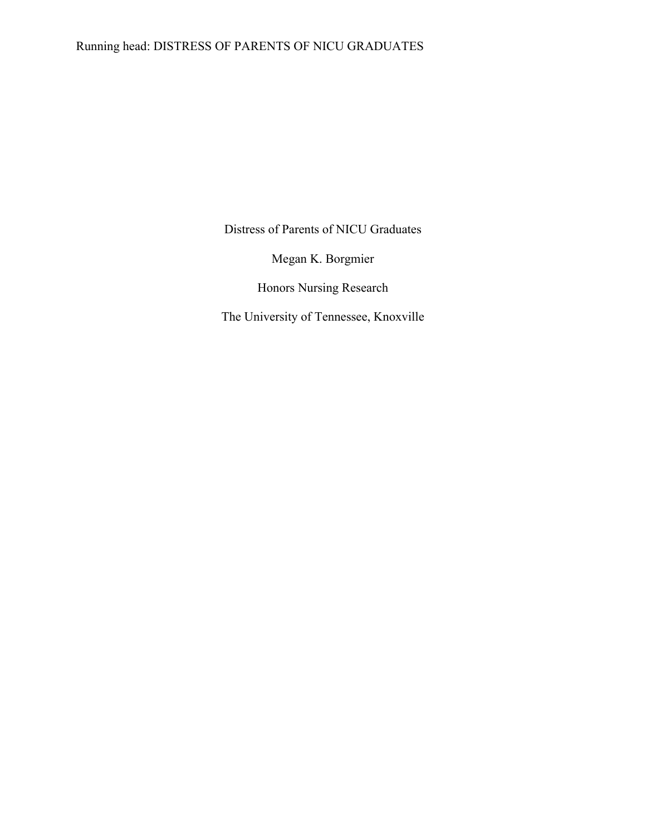## Running head: DISTRESS OF PARENTS OF NICU GRADUATES

Distress of Parents of NICU Graduates

Megan K. Borgmier

Honors Nursing Research

The University of Tennessee, Knoxville